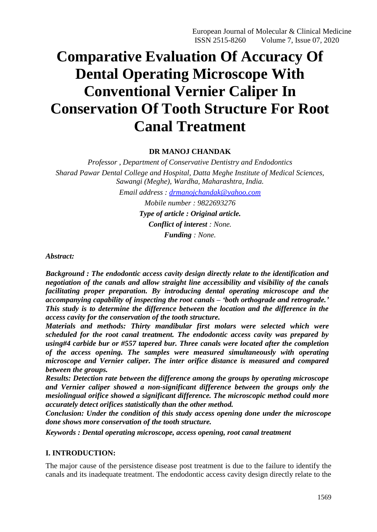European Journal of Molecular & Clinical Medicine ISSN 2515-8260 Volume 7, Issue 07, 2020

# **Comparative Evaluation Of Accuracy Of Dental Operating Microscope With Conventional Vernier Caliper In Conservation Of Tooth Structure For Root Canal Treatment**

## **DR MANOJ CHANDAK**

*Professor , Department of Conservative Dentistry and Endodontics Sharad Pawar Dental College and Hospital, Datta Meghe Institute of Medical Sciences, Sawangi (Meghe), Wardha, Maharashtra, India. Email address : [drmanojchandak@yahoo.com](mailto:drmanojchandak@yahoo.com) Mobile number : 9822693276 Type of article : Original article. Conflict of interest : None. Funding : None.*

*Abstract:*

*Background : The endodontic access cavity design directly relate to the identification and negotiation of the canals and allow straight line accessibility and visibility of the canals facilitating proper preparation. By introducing dental operating microscope and the accompanying capability of inspecting the root canals – 'both orthograde and retrograde.' This study is to determine the difference between the location and the difference in the access cavity for the conservation of the tooth structure.*

*Materials and methods: Thirty mandibular first molars were selected which were scheduled for the root canal treatment. The endodontic access cavity was prepared by using#4 carbide bur or #557 tapered bur. Three canals were located after the completion of the access opening. The samples were measured simultaneously with operating microscope and Vernier caliper. The inter orifice distance is measured and compared between the groups.*

*Results: Detection rate between the difference among the groups by operating microscope and Vernier caliper showed a non-significant difference between the groups only the mesiolingual orifice showed a significant difference. The microscopic method could more accurately detect orifices statistically than the other method.*

*Conclusion: Under the condition of this study access opening done under the microscope done shows more conservation of the tooth structure.*

*Keywords : Dental operating microscope, access opening, root canal treatment*

## **I. INTRODUCTION:**

The major cause of the persistence disease post treatment is due to the failure to identify the canals and its inadequate treatment. The endodontic access cavity design directly relate to the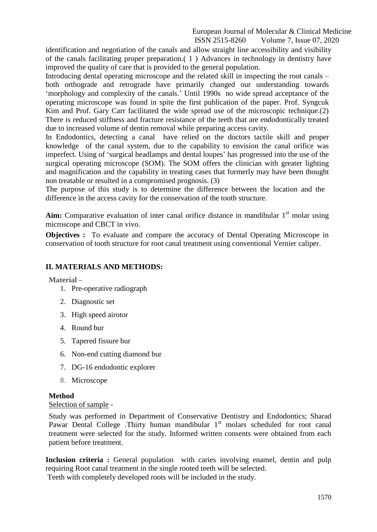European Journal of Molecular & Clinical Medicine ISSN 2515-8260 Volume 7, Issue 07, 2020

identification and negotiation of the canals and allow straight line accessibility and visibility of the canals facilitating proper preparation.( 1 ) Advances in technology in dentistry have improved the quality of care that is provided to the general population.

Introducing dental operating microscope and the related skill in inspecting the root canals – both orthograde and retrograde have primarily changed our understanding towards "morphology and complexity of the canals." Until 1990s no wide spread acceptance of the operating microscope was found in spite the first publication of the paper. Prof. Syngcuk Kim and Prof. Gary Carr facilitated the wide spread use of the microscopic technique.(2) There is reduced stiffness and fracture resistance of the teeth that are endodontically treated due to increased volume of dentin removal while preparing access cavity.

In Endodontics, detecting a canal have relied on the doctors tactile skill and proper knowledge of the canal system, due to the capability to envision the canal orifice was imperfect. Using of "surgical headlamps and dental loupes" has progressed into the use of the surgical operating microscope (SOM). The SOM offers the clinician with greater lighting and magnification and the capability in treating cases that formerly may have been thought non treatable or resulted in a compromised prognosis. (3)

The purpose of this study is to determine the difference between the location and the difference in the access cavity for the conservation of the tooth structure.

Aim: Comparative evaluation of inter canal orifice distance in mandibular 1<sup>st</sup> molar using microscope and CBCT in vivo.

**Objectives :** To evaluate and compare the accuracy of Dental Operating Microscope in conservation of tooth structure for root canal treatment using conventional Vernier caliper.

# **II. MATERIALS AND METHODS:**

**Material –**

- 1. Pre-operative radiograph
- 2. Diagnostic set
- 3. High speed airotor
- 4. Round bur
- 5. Tapered fissure bur
- 6. Non-end cutting diamond bur
- 7. DG-16 endodontic explorer
- 8. Microscope

## **Method**

Selection of sample -

Study was performed in Department of Conservative Dentistry and Endodontics; Sharad Pawar Dental College .Thirty human mandibular 1<sup>st</sup> molars scheduled for root canal treatment were selected for the study. Informed written consents were obtained from each patient before treatment.

**Inclusion criteria :** General population with caries involving enamel, dentin and pulp requiring Root canal treatment in the single rooted teeth will be selected.

Teeth with completely developed roots will be included in the study.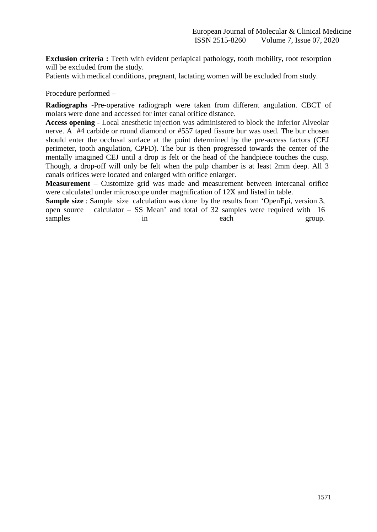**Exclusion criteria :** Teeth with evident periapical pathology, tooth mobility, root resorption will be excluded from the study.

Patients with medical conditions, pregnant, lactating women will be excluded from study.

Procedure performed –

**Radiographs** -Pre-operative radiograph were taken from different angulation. CBCT of molars were done and accessed for inter canal orifice distance.

**Access opening** - Local anesthetic injection was administered to block the Inferior Alveolar nerve. A #4 carbide or round diamond or #557 taped fissure bur was used. The bur chosen should enter the occlusal surface at the point determined by the pre-access factors (CEJ perimeter, tooth angulation, CPFD). The bur is then progressed towards the center of the mentally imagined CEJ until a drop is felt or the head of the handpiece touches the cusp. Though, a drop-off will only be felt when the pulp chamber is at least 2mm deep. All 3 canals orifices were located and enlarged with orifice enlarger.

**Measurement** – Customize grid was made and measurement between intercanal orifice were calculated under microscope under magnification of 12X and listed in table.

**Sample size** : Sample size calculation was done by the results from "OpenEpi, version 3, open source calculator – SS Mean" and total of 32 samples were required with 16 samples in in each group.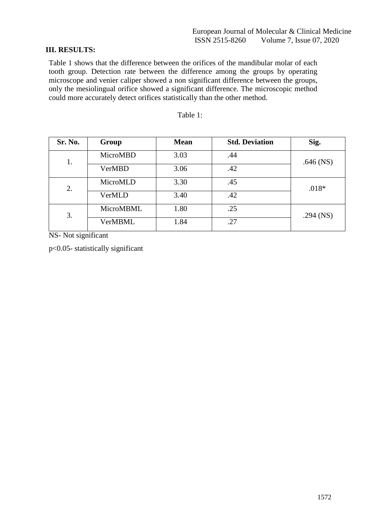# **III. RESULTS:**

Table 1 shows that the difference between the orifices of the mandibular molar of each tooth group. Detection rate between the difference among the groups by operating microscope and venier caliper showed a non significant difference between the groups, only the mesiolingual orifice showed a significant difference. The microscopic method could more accurately detect orifices statistically than the other method.

| Sr. No. | Group          | <b>Mean</b> | <b>Std. Deviation</b> | Sig.        |
|---------|----------------|-------------|-----------------------|-------------|
| 1.      | MicroMBD       | 3.03        | .44                   | $.646$ (NS) |
|         | VerMBD         | 3.06        | .42                   |             |
| 2.      | MicroMLD       | 3.30        | .45                   | $.018*$     |
|         | VerMLD         | 3.40        | .42                   |             |
| 3.      | MicroMBML      | 1.80        | .25                   | $.294$ (NS) |
|         | <b>VerMBML</b> | 1.84        | .27                   |             |

# Table 1:

NS- Not significant

p<0.05- statistically significant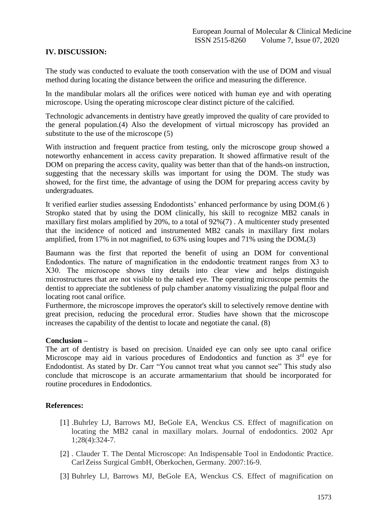# **IV. DISCUSSION:**

The study was conducted to evaluate the tooth conservation with the use of DOM and visual method during locating the distance between the orifice and measuring the difference.

In the mandibular molars all the orifices were noticed with human eye and with operating microscope. Using the operating microscope clear distinct picture of the calcified.

Technologic advancements in dentistry have greatly improved the quality of care provided to the general population.(4) Also the development of virtual microscopy has provided an substitute to the use of the microscope (5)

With instruction and frequent practice from testing, only the microscope group showed a noteworthy enhancement in access cavity preparation. It showed affirmative result of the DOM on preparing the access cavity, quality was better than that of the hands-on instruction, suggesting that the necessary skills was important for using the DOM. The study was showed, for the first time, the advantage of using the DOM for preparing access cavity by undergraduates.

It verified earlier studies assessing Endodontists' enhanced performance by using DOM.(6) Stropko stated that by using the DOM clinically, his skill to recognize MB2 canals in maxillary first molars amplified by 20%, to a total of 92%(7) . A multicenter study presented that the incidence of noticed and instrumented MB2 canals in maxillary first molars amplified, from 17% in not magnified, to 63% using loupes and 71% using the DOM**.**(3)

Baumann was the first that reported the benefit of using an DOM for conventional Endodontics. The nature of magnification in the endodontic treatment ranges from Χ3 to Χ30. The microscope shows tiny details into clear view and helps distinguish microstructures that are not visible to the naked eye. The operating microscope permits the dentist to appreciate the subtleness of pulp chamber anatomy visualizing the pulpal floor and locating root canal orifice.

Furthermore, the microscope improves the operator's skill to selectively remove dentine with great precision, reducing the procedural error. Studies have shown that the microscope increases the capability of the dentist to locate and negotiate the canal. (8)

## **Conclusion –**

The art of dentistry is based on precision. Unaided eye can only see upto canal orifice Microscope may aid in various procedures of Endodontics and function as  $3<sup>rd</sup>$  eve for Endodontist. As stated by Dr. Carr "You cannot treat what you cannot see" This study also conclude that microscope is an accurate armamentarium that should be incorporated for routine procedures in Endodontics.

## **References:**

- [1] .Buhrley LJ, Barrows MJ, BeGole EA, Wenckus CS. Effect of magnification on locating the MB2 canal in maxillary molars. Journal of endodontics. 2002 Apr 1;28(4):324-7.
- [2] . Clauder T. The Dental Microscope: An Indispensable Tool in Endodontic Practice. CarlZeiss Surgical GmbH, Oberkochen, Germany. 2007:16-9.
- [3] Buhrley LJ, Barrows MJ, BeGole EA, Wenckus CS. Effect of magnification on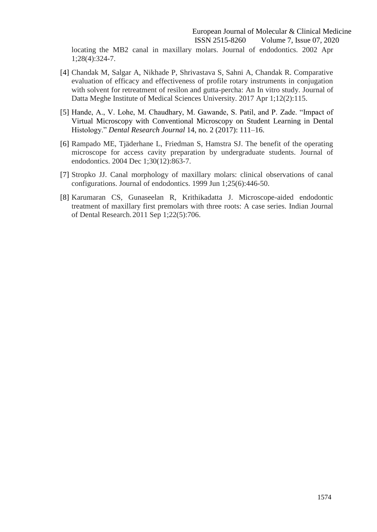locating the MB2 canal in maxillary molars. Journal of endodontics. 2002 Apr 1;28(4):324-7.

- [4] Chandak M, Salgar A, Nikhade P, Shrivastava S, Sahni A, Chandak R. Comparative evaluation of efficacy and effectiveness of profile rotary instruments in conjugation with solvent for retreatment of resilon and gutta-percha: An In vitro study. Journal of Datta Meghe Institute of Medical Sciences University. 2017 Apr 1;12(2):115.
- [5] Hande, A., V. Lohe, M. Chaudhary, M. Gawande, S. Patil, and P. Zade. "Impact of Virtual Microscopy with Conventional Microscopy on Student Learning in Dental Histology." *Dental Research Journal* 14, no. 2 (2017): 111–16.
- [6] Rampado ME, Tjäderhane L, Friedman S, Hamstra SJ. The benefit of the operating microscope for access cavity preparation by undergraduate students. Journal of endodontics. 2004 Dec 1;30(12):863-7.
- [7] Stropko JJ. Canal morphology of maxillary molars: clinical observations of canal configurations. Journal of endodontics. 1999 Jun 1;25(6):446-50.
- [8] Karumaran CS, Gunaseelan R, Krithikadatta J. Microscope-aided endodontic treatment of maxillary first premolars with three roots: A case series. Indian Journal of Dental Research.2011 Sep 1;22(5):706.